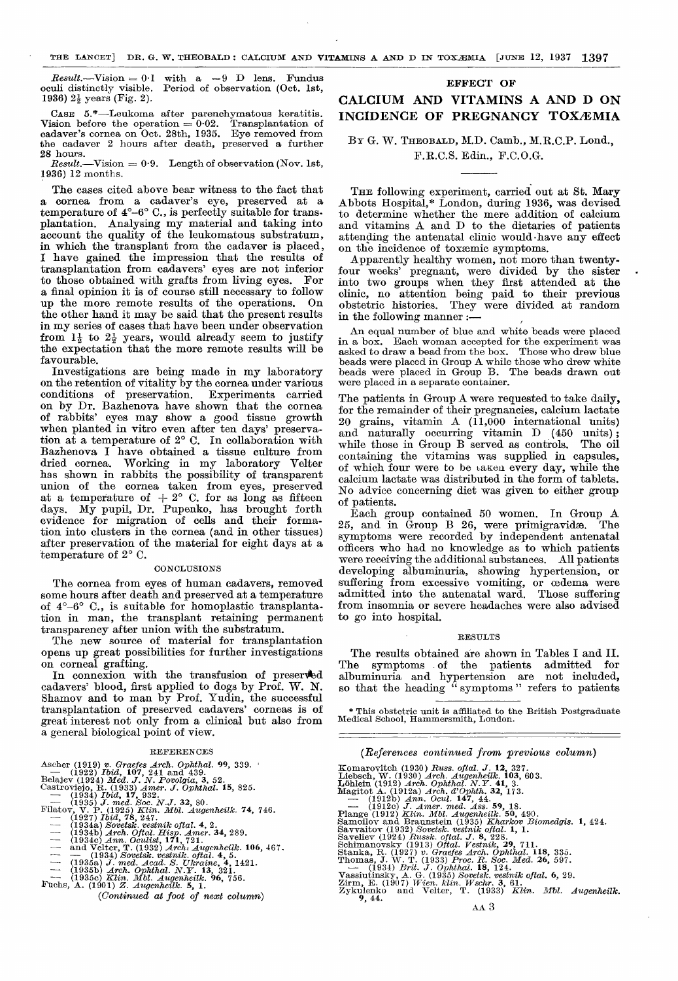$Result. -Vision = 0.1$  with a -9 D lens. Fundus oculi distinctly visible. Period of observation (Oct. lst, 1936)  $2\frac{1}{2}$  years (Fig. 2).

CASE 5.\*-Leukoma after parenchymatous keratitis. Vision before the operation = 0.02. Transplantation of cadaver's cornea on Oct. 28th, 1935. Eye removed from the cadaver 2 hours after death, preserved a further 28 hours.

Result.-Vision =  $0.9$ . Length of observation (Nov. 1st, 1936) 12 months.

The cases cited above bear witness to the fact that a cornea from a cadaver's eye, preserved at a temperature of 4°-6° C., is perfectly suitable for trans. plantation. Analysing my material and taking into account the quality of the leukomatous substratum, in which the transplant from the cadaver is placed, I have gained the impression that the results of transplantation from cadavers' eyes are not inferior to those obtained with grafts from living eyes. a final opinion it is of course still necessary to follow up the more remote results of the operations. the other hand it may be said that the present results in my series of cases that have been under observation from  $1\frac{1}{2}$  to  $2\frac{1}{2}$  years, would already seem to justify the expectation that the more remote results will be favourable.<br>Investigations are being made in my laboratory

on the retention of vitality by the cornea under various<br>conditions of preservation. Experiments carried conditions of preservation. Experiments carried on by Dr. Bazhenova have shown that the cornea when planted in vitro even after ten days' preservation at a temperature of 2° C. In collaboration with Bazhenova I have obtained a tissue culture from dried cornea. Working in my laboratory Velter has shown in rabbits the possibility of transparent union of the cornea taken from eyes, preserved at a temperature of  $+2^{\circ}$  C. for as long as fifteen days. My pupil, Dr. Pupenko, has brought forth evidence for migration of cells and their formation into clusters in the cornea (and in other tissues) after preservation of the material for eight days at a temperature of 2° C.

#### **CONCLUSIONS**

The cornea from eyes of human cadavers, removed some hours after death and preserved at a temperature of 4°-6° C., is suitable for homoplastic transplantation in man, the transplant retaining permanent transparency after union with the substratum.

The new source of material for transplantation opens up great possibilities for further investigations on corneal grafting.

In connexion with the transfusion of preserved cadavers' blood, first applied to dogs by Prof. W. N. Shamov and to man by Prof. Yudin, the successful transplantation of preserved cadavers' corneas is of great interest not only from a clinical but also from a general biological point of view.

#### REFERENCES

|  |  | Ascher (1919) v. Graefes Arch. Ophthal. 99, 339. |  |  |
|--|--|--------------------------------------------------|--|--|

Ascher (1919) v. Graefes Arch. Ophthal. 99, 339.<br>
— (1922) Ibid, 107, 241 and 439.<br>
Belaiev (1924) Med. J. N. Povolgia, 3, 52.<br>
Castrovieio, R. (1933) Amer. J. Ophthal. 15, 825.<br>
— (1934) Ibid, 17, 932.<br>
— (1935) J. med. S

- 
- 
- 
- Filatov, V. P. (1925) Klin. Mbl. Augenheilk. 74, 746.<br>
 (1927) Ibid, 78, 247.<br>
 (1934a) Sovetsk. vestmik oftal. 4, 2.<br>
 (1934b) Arch. Oftal. Hisp. Amer. 34, 289.<br>
 (1934c) Ann. Oculist, 171, 721.<br>
 and Velter, T. (193
	-
- 
- 
- 
- 
- 
- - -

# EFFECT OF

# CALCIUM AND VITAMINS A AND D ON INCIDENCE OF PREGNANCY TOXEMIA

## BY G. W. THEOBALD, M.D. Camb., M.R.C.P. Lond., F.R.C.S. Edin., F.C.O.G.

THE following experiment, carried out at St. Mary Abbots Hospital,\* London, during 1936, was devised to determine whether the mere addition of calcium and vitamins A and D to the dietaries of patients attending the antenatal clinic would-have any effect on the incidence of toxaemic symptoms.

Apparently healthy women, not more than twentyfour weeks' pregnant, were divided by the sister . into two groups when they first attended at the clinic, no attention being paid to their previous obstetric histories. They were divided at random in the following manner  $:$   $-$ 

An equal number of blue and white beads were placed in a box. Each woman accepted for the experiment was asked to draw a bead from the box. Those who drew blue beads were placed in Group A while those who drew white beads were placed in Group B. The beads drawn out were placed in a separate container.

The patients in Group A were requested to take daily, for the remainder of their pregnancies, calcium lactate 20 grains, vitamin A (11,000 international units) and naturally occurring vitamin D (450 units);<br>while those in Group B served as controls. The oil while those in Group B served as controls. containing the vitamins was supplied in capsules, of which four were to be taken every day, while the calcium lactate was distributed in the form of tablets. No advice concerning diet was given to either group of patients.

Each group contained 50 women. In Group A 25, and in  $\tilde{G}$ roup B 26, were primigravidæ. symptoms were recorded by independent antenatal were receiving the additional substances. All patients developing albuminuria, showing hypertension, or suffering from excessive vomiting, or oedema were admitted into the antenatal ward. Those suffering from insomnia or severe headaches were also advised to go into hospital.

#### RESULTS

The results obtained are shown in Tables I and II. The symptoms of the patients admitted for albuminuria and hypertension are not included, so that the heading " symptoms " refers to patients

\* This obstetric unit is affiliated to the British Postgraduate Medical School, Hammersmith, London.

## (References continued from previous column)

- 
- 
- 
- 
- 
- -
- -
- 
- Komarovitch (1930) Russ. oftal. J. 12, 327.<br>Liebsch, W. (1930) Arch. Augenheilk. 103, 603.<br>Löhlein (1912) Arch. Ophthal. N.Y. 41, 3.<br>Magitot A. (1912a) Arch. d'Ophth. 32, 173.<br>—— (1912b) Ann. Ocul. 147, 44.<br>—— (1912b) Ann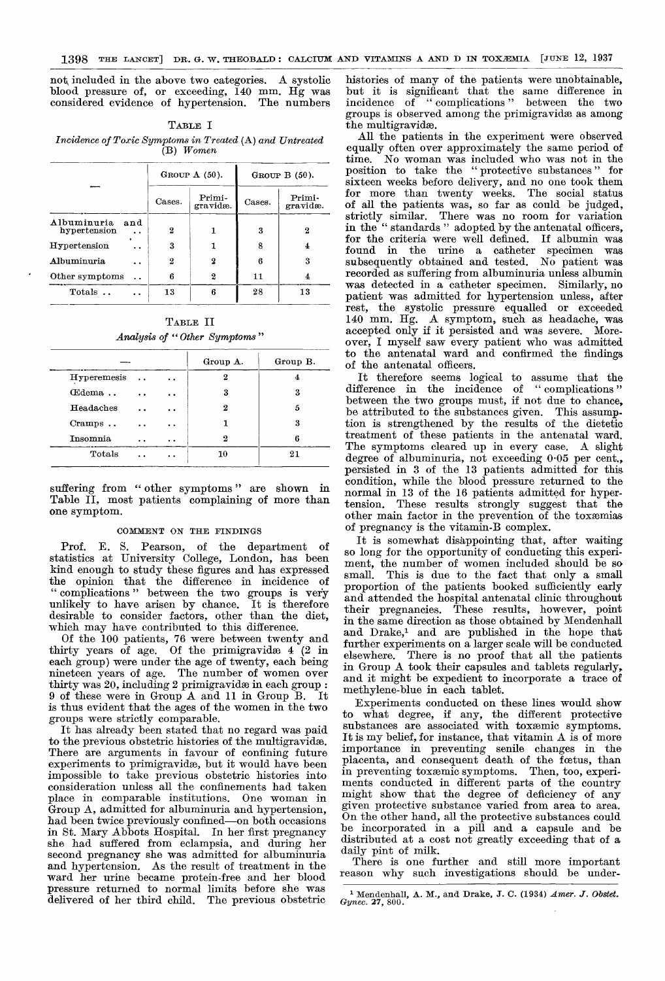not, included in the above two categories. A systolic blood pressure of, or exceeding, 140 mm. Hg was considered evidence of hypertension. The numbers

| TABLE I                                                                 |
|-------------------------------------------------------------------------|
| Incidence of Toxic Symptoms in Treated (A) and Untreated<br>$(B)$ Women |

|                                    |        | GROUP $A(50)$ .    | GROUP $B(50)$ . |                    |  |
|------------------------------------|--------|--------------------|-----------------|--------------------|--|
|                                    | Cases. | Primi-<br>gravidæ. | Cases.          | Primi-<br>gravidæ. |  |
| Albuminuria<br>and<br>hypertension | 2      |                    | 3               | 2                  |  |
| Hypertension                       | 3      | 1                  | 8               | 4                  |  |
| <b>Albuminuria</b>                 | 2      | 2                  | 6               | 3                  |  |
| Other symptoms                     | 6      | 2                  | 11              | 4                  |  |
| Totals                             | 13     | В                  | 28              | 13                 |  |

TABLE II Analysis of "Other Symptoms"

|             |                      |                      | Group A. | Group B. |
|-------------|----------------------|----------------------|----------|----------|
| Hyperemesis | . .                  | $\ddot{\phantom{1}}$ | 2        | 4        |
| Œdema       | . .                  | . .                  | 3        | 3        |
| Headaches   | $\ddot{\phantom{a}}$ | . .                  | 2        | 5        |
| Cramps      | $\sim$ $\sim$        | $^{\circ}$           |          | 3        |
| Insomnia    |                      | $\ddot{\phantom{1}}$ | 2        | в        |
| Totals      |                      | $\bullet$            | 10       | 21       |

suffering from "other symptoms" are shown in Table II, most patients complaining of more than one symptom.

## COMMENT ON THE FINDINGS

Prof. E. S. Pearson, of the department of statistics at University College, London, has been kind enough to study these figures and has expressed the opinion that the difference in incidence of " complications " between the two groups is very unlikely to have arisen by chance. It is therefore desirable to consider factors, other than the diet, which may have contributed to this difference.

Of the 100 patients, 76 were between twenty and thirty years of age. Of the primigravidæ 4 (2 in each group) were under the age of twenty, each being nineteen years of age. The number of women over thirty was 20, including 2 primigravidæ in each group : 9 of these were in Group A and 11 in Group B. It is thus evident that the ages of the women in the two groups were strictly comparable.

It has already been stated that no regard was paid to the previous obstetric histories of the multigravidae. There are arguments in favour of confining future experiments to primigravidæ, but it would have been impossible to take previous obstetric histories into consideration unless all the confinements had taken place in comparable institutions. One woman in Group A, admitted for albuminuria and hypertension, had been twice previously confined-on both occasions in St. Mary Abbots Hospital. In her first pregnancy she had suffered from eclampsia, and during her second pregnancy she was admitted for albuminuria and hypertension. As the result of treatment in the ward her urine became protein-free and her blood pressure returned to normal limits before she was delivered of her third child. The previous obstetric

histories of many of the patients were unobtainable, but it is significant that the same difference in incidence of "complications" between the two groups is observed among the primigravidæ as among the multigravidæ.

All the patients in the experiment were observed equally often over approximately the same period of time. No woman was included who was not in the position to take the "protective substances" sixteen weeks before delivery, and no one took them for more than twenty weeks. The social status of all the patients was, so far as could be judged, strictly similar. There was no room for variation in the" standards " adopted by the antenatal officers, for the criteria were well defined. If albumin was found in the urine a catheter specimen was subsequently obtained and tested. No patient was recorded as suffering from albuminuria unless albumin was detected in a catheter specimen. Similarly, no patient was admitted for hypertension unless, after rest, the systolic pressure equalled or exceeded 140 mm. Hg. A symptom, such as headache, was accepted only if it persisted and was severe. Moreover, I myself saw every patient who was admitted to the antenatal ward and confirmed the findings of the antenatal officers.

It therefore seems logical to assume that the difference in the incidence of " complications " between the two groups must, if not due to chance, be attributed to the substances given. This assumption is strengthened by the results of the dietetic treatment of these patients in the antenatal ward. The symptoms cleared up in every case. A slight degree of albuminuria, not exceeding 0'05 per cent., persisted in 3 of the 13 patients admitted for this condition, while the blood pressure returned to the normal in 13 of the 16 patients admitted for hypertension. These results strongly suggest that the other main factor in the prevention of the toxæmias of pregnancy is the vitamin-B complex.<br>It is somewhat disappointing that, after waiting

so long for the opportunity of conducting this experiment, the number of women included should be so small. This is due to the fact that only a small This is due to the fact that only a small proportion of the patients booked sufficiently early and attended the hospital antenatal clinic throughout their pregnancies. These results, however, point in the same direction as those obtained by Mendenhall and Drake,<sup>1</sup> and are published in the hope that further experiments on a larger scale will be conducted elsewhere. There is no proof that all the patients in Group A took their capsules and tablets regularly, and it might be expedient to incorporate a trace of methylene-blue in each tablet.

Experiments conducted on these lines would show to what degree, if any, the different protective substances are associated with toxemic symptoms. It is my belief, for instance, that vitamin A is of more importance in preventing senile changes in the placenta, and consequent death of the foetus, than in preventing toxæmic symptoms. Then, too, experiments conducted in different parts of the country might show that the degree of deficiency of any given protective substance varied from area to area. On the other hand, all the protective substances could be incorporated in a pill and a capsule and be distributed at a cost not greatly exceeding that of a daily pint of milk.<br>There is one further and still more important

reason why such investigations should be under-

<sup>&</sup>lt;sup>1</sup> Mendenhall,  $\Lambda$ . M., and Drake, J. C. (1934) *Amer. J. Obstet.* Gynec. **27**, 800.